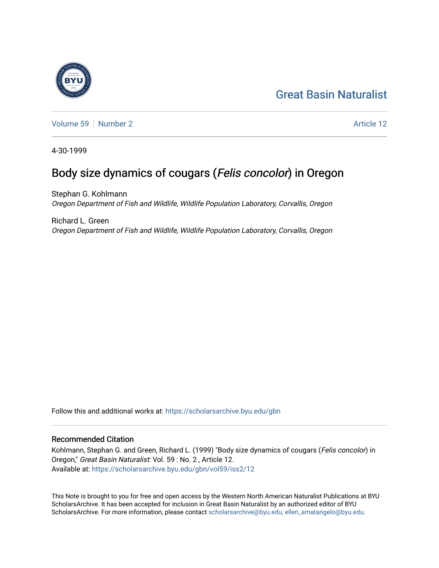### [Great Basin Naturalist](https://scholarsarchive.byu.edu/gbn)



[Volume 59](https://scholarsarchive.byu.edu/gbn/vol59) [Number 2](https://scholarsarchive.byu.edu/gbn/vol59/iss2) Article 12

4-30-1999

## Body size dynamics of cougars (Felis concolor) in Oregon

Stephan G. Kohlmann Oregon Department of Fish and Wildlife, Wildlife Population Laboratory, Corvallis, Oregon

Richard L. Green Oregon Department of Fish and Wildlife, Wildlife Population Laboratory, Corvallis, Oregon

Follow this and additional works at: [https://scholarsarchive.byu.edu/gbn](https://scholarsarchive.byu.edu/gbn?utm_source=scholarsarchive.byu.edu%2Fgbn%2Fvol59%2Fiss2%2F12&utm_medium=PDF&utm_campaign=PDFCoverPages) 

#### Recommended Citation

Kohlmann, Stephan G. and Green, Richard L. (1999) "Body size dynamics of cougars (Felis concolor) in Oregon," Great Basin Naturalist: Vol. 59 : No. 2 , Article 12. Available at: [https://scholarsarchive.byu.edu/gbn/vol59/iss2/12](https://scholarsarchive.byu.edu/gbn/vol59/iss2/12?utm_source=scholarsarchive.byu.edu%2Fgbn%2Fvol59%2Fiss2%2F12&utm_medium=PDF&utm_campaign=PDFCoverPages) 

This Note is brought to you for free and open access by the Western North American Naturalist Publications at BYU ScholarsArchive. It has been accepted for inclusion in Great Basin Naturalist by an authorized editor of BYU ScholarsArchive. For more information, please contact [scholarsarchive@byu.edu, ellen\\_amatangelo@byu.edu.](mailto:scholarsarchive@byu.edu,%20ellen_amatangelo@byu.edu)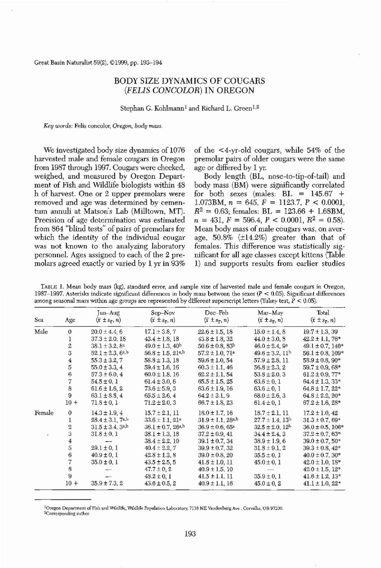Great Basin Naturalist 59(2), ©1999, pp. 193-194

# BODY SIZE DYNAMICS OF COUGARS (FELIS CONCOLOR) IN OREGON

Stephan G. Kohlmann<sup>1</sup> and Richard L. Green<sup>1,2</sup>

Key words: Felis concolor, Oregon, body mass.

Body length (BL, nose-to-tip-of-tail) and Mean body mass of male cougars was, on average,  $50.8\%$  ( $\pm 14.2\%$ ) greater than that of

TABLE 1. Mean body mass (kg), standard error, and sample size of harvested male and female cougars in Oregon, 1987–1997. Asterisks indicate significant differences in body mass between the sexes ( $P < 0.05$ ). Significant differences among seasonal mass within age groups are represented by different superscript letters (Tukey test,  $P < 0.05$ ).

<sup>1</sup>Oregon Department of Fish and Wildlife, Wildlife Population Laboratory, 7118 NE Vandenberg Ave., Corvallis, OR 97330.

<sup>2</sup>Corresponding author.

We investigated body size dynamics of 1076 harvested male and female cougars in Oregon from 1987 through 1997. Cougars were checked, weighed, and measured by Oregon Department of Fish and Wildlife biologists within 48 h of harvest. One or 2 upper premolars were removed and age was determined by cementum annuli at Matson's Lab (Milltown, MT). Precision of age determination was estimated from 864 "blind tests" of pairs of premolars for which the identity of the individual cougar was not known to the analyzing laboratory personnel. Ages assigned to each of the 2 premolars agreed exactly or varied by  $1 \times in 93\%$ age or differed by 1 yr. body mass (BM) were significantly correlated for both sexes (males:  $BL = 145.67 +$ 1.073BM,  $n = 645$ ,  $F = 1123.7$ ,  $P < 0.0001$ ,  $R^2 = 0.63$ ; females:  $BL = 123.66 + 1.68BM$ ,  $n = 431, F = 596.4, P < 0.0001, R^2 = 0.58$ . females. This difference was statistically significant for all age classes except kittens (Table 1) and supports results from earlier studies

of the <4-yr-old cougars, while 54% of the premolar pairs of older cougars were the same

Jun-Aug Sep-Nov Dec-Feb Mar-May Thtal Sex Age  $(\bar{x} \pm s_{\bar{x}}, n)$   $(\bar{x} \pm s_{\bar{x}}, n)$   $(\bar{x} \pm s_{\bar{x}}, n)$   $(\bar{x} \pm s_{\bar{x}}, n)$   $(\bar{x} \pm s_{\bar{x}}, n)$ Male  $0$   $20.0 \pm 4.4, 6$   $17.1 \pm 3.8, 7$   $22.6 \pm 1.5, 18$   $15.0 \pm 1.4, 8$   $19.7 \pm 1.3, 39$ <br>1  $37.3 \pm 2.0, 18$   $43.4 \pm 1.8, 18$   $43.8 \pm 1.8, 32$   $44.0 \pm 3.0, 8$   $42.2 \pm 1.1, 76$ 1  $37.3 \pm 2.0, 18$   $43.4 \pm 1.8, 18$   $43.8 \pm 1.8, 32$   $44.0 \pm 3.0, 8$   $42.2 \pm 1.1, 76*$ <br>2  $38.1 \pm 3.2, 8^a$   $49.0 \pm 1.3, 40^b$   $50.6 \pm 0.8, 83^b$   $46.0 \pm 2.4, 9^a$   $49.1 \pm 0.7, 140^o$ 2  $38.1 \pm 3.2$ ,  $8^a$   $49.0 \pm 1.3$ ,  $40^b$   $50.6 \pm 0.8$ ,  $83^b$   $46.0 \pm 2.4$ ,  $9^a$   $49.1 \pm 0.7$ ,  $140^*$ <br>3  $52.1 \pm 2.3$ ,  $6^{a,b}$   $56.8 \pm 1.5$ ,  $21^{a,b}$   $57.2 \pm 1.0$ ,  $71^a$   $49.6 \pm 3.2$ ,  $11^b$   $56.1 \pm 0.8$ ,  $109^*$ 3  $52.1 \pm 2.3$ ,  $6^{a,b}$   $56.8 \pm 1.5$ ,  $21^{a,b}$   $57.2 \pm 1.0$ ,  $71^{a}$   $49.6 \pm 3.2$ ,  $11^{b}$   $56.1 \pm 0.8$ ,  $109^{*}$ <br>4  $55.3 \pm 3.2$ ,  $7$   $58.8 \pm 1.3$ ,  $18$   $59.6 \pm 1.0$ ,  $54$   $57.9 \pm 2.8$ ,  $11$   $58.9 \pm 0.8$ ,  $90^{*}$ <br>55.0  $\pm$  $55.3 \pm 3.2, 7$   $58.8 \pm 1.3, 18$   $59.6 \pm 1.0, 54$   $57.9 \pm 2.8, 11$   $58.9 \pm 0.8, 90^*$  $55.0 \pm 3.3, 4$   $59.4 \pm 1.6, 16$   $60.3 \pm 1.1, 46$   $56.8 \pm 2.3, 2$   $59.7 \pm 0.9, 68$ \*<br>  $57.3 \pm 6.0, 4$   $60.0 \pm 1.8, 16$   $62.2 \pm 1.1, 54$   $53.8 \pm 2.0, 3$   $61.2 \pm 0.9, 77$ \*  $57.3 \pm 6.0, 4$   $60.0 \pm 1.8, 16$   $62.2 \pm 1.1, 54$   $53.8 \pm 2.0, 3$   $61.2 \pm 0.9, 77$ <sup>\*</sup><br>  $54.5 \pm 0, 1$   $61.4 \pm 3.0, 6$   $65.5 \pm 1.5, 25$   $63.6 \pm 0, 1$   $64.4 \pm 1.3, 33$ <sup>\*</sup>  $7$   $54.5 \pm 0, 1$   $61.4 \pm 3.0, 6$   $65.5 \pm 1.5, 25$   $63.6 \pm 0, 1$   $64.4 \pm 1.3, 33$ \*<br>  $61.6 \pm 1.6, 2$   $73.6 \pm 5.9, 3$   $63.6 \pm 1.9, 16$   $63.6 \pm 0, 1$   $64.8 \pm 1.7, 22$ \* 8 61.6 ± 1.6, 2 73.6 ± 5.9, 3 63.6 ± 1.9, 16 63.6 ± 0, 1 64.8 ± 1.7, 22\*<br>9 63.1 ± 8.8, 4 65.5 ± 2.6, 4 64.2 ± 3.1, 9 68.0 ± 2.6, 3 64.8 ± 2.2, 20\* 9 63.1  $\pm$  8.8, 4 65.5  $\pm$  2.6, 4 64.2  $\pm$  3.1, 9 68.0  $\pm$  2.6, 3 64.8  $\pm$  2.2, 20\*<br>10 + 71.8  $\pm$  0, 1 71.2  $\pm$  2.0, 3 66.7  $\pm$  1.8, 23 61.4  $\pm$  0, 1 67.2  $\pm$  1.6, 28\*  $71.8 \pm 0, 1$   $71.2 \pm 2.0, 3$   $66.7 \pm 1.8, 23$   $61.4 \pm 0, 1$   $67.2 \pm 1.6, 28$ \* Female 0 14.3 ± 1.9, 4 15.7 ± 2.1, 11 18.0 ± 1.7, 16 18.7 ± 2.1, 11 17.2 ± 1.0, 42<br>1 28.4 ± 3.1, 7<sup>a,b</sup> 33.6 ± 1.1, 21<sup>a</sup> 31.9 ± 1.1, 28<sup>a,b</sup> 27.7 ± 1.4, 13<sup>b</sup> 31.3 ± 0.7, 69 1  $14.3 \pm 1.9$ , 4  $15.7 \pm 2.1$ , 11  $18.0 \pm 1.7$ , 16  $18.7 \pm 2.1$ , 11  $17.2 \pm 1.0$ , 42<br>
28.4  $\pm 3.1$ , 7<sup>a,b</sup> 33.6  $\pm 1.1$ , 21<sup>a</sup> 31.9  $\pm 1.1$ , 28<sup>a,b</sup> 27.7  $\pm 1.4$ , 13<sup>b</sup> 31.3  $\pm 0.7$ , 69\*<br>
31.5  $\pm 3.4$ , 3a,b 36.1  $\$  $31.5 \pm 3.4$ ,  $3^{a,b}$   $36.1 \pm 0.7$ ,  $26^{a,b}$   $36.9 \pm 0.6$ ,  $65^{a}$   $32.5 \pm 2.0$ ,  $12^{b}$   $36.0 \pm 0.5$ ,  $106^{*}$  $31.8 \pm 0, 1$   $38.1 \pm 1.3, 18$   $37.2 \pm 0.9, 41$   $34.4 \pm 2.4, 3$   $37.2 \pm 0.7, 63$ \* 4 - 38.4 ± 2.2, 10 39.1 ± 0.7, 34 38.9 ± 1.9, 6 39.0 ± 0.7, 50\*<br>5 29.1 ± 0, 1 40.4 ± 2.2, 7 39.9 ± 0.7, 32 31.8 ± 9.1, 2 39.3 ± 0.8, 42\*  $5$  29.1 ± 0, 1 40.4 ± 2.2, 7 39.9 ± 0.7, 32 31.8 ± 9.1, 2 39.3 ± 0.8, 42\*<br>6 40.9 ± 0, 1 42.8 ± 1.3, 8 39.0 ± 0.8, 20 35.5 ± 0, 1 40.0 ± 0.7, 30\* 6  $40.9 \pm 0, 1$   $42.8 \pm 1.3, 8$   $39.0 \pm 0.8, 20$   $35.5 \pm 0, 1$   $40.0 \pm 0.7, 30*$ <br>
7  $35.0 \pm 0, 1$   $43.5 \pm 2.5, 5$   $41.8 \pm 1.0, 11$   $45.0 \pm 0, 1$   $42.0 \pm 1.0, 18*$  $7$   $35.0 \pm 0, 1$   $43.5 \pm 2.5, 5$   $41.8 \pm 1.0, 11$   $45.0 \pm 0, 1$   $42.0 \pm 1.0, 18$ <sup>\*</sup><br>8  $47.7 \pm 0, 2$   $40.9 \pm 1.5, 10$   $42.0 \pm 1.5, 12$ <sup>\*</sup> 8 - 47.7 ± 0, 2 40.9 ± 1.5, 10 - 42.0 ± 1.5, 12\*<br>9 - 48.2 ± 0, 1 41.5 ± 1.1, 11 35.9 ± 0, 1 41.6 ± 1.2, 13\* 9 -  $48.2 \pm 0, 1$   $41.5 \pm 1.1, 11$   $35.9 \pm 0, 1$   $41.6 \pm 1.2, 13$ <sup>\*</sup><br> $10 + 35.9 \pm 7.3, 2$   $43.6 \pm 0.5, 2$   $40.9 \pm 1.1, 16$   $45.0 \pm 0, 2$   $41.1 \pm 1.0, 22$ <sup>\*</sup>  $43.6 \pm 0.5$ ,  $2$   $40.9 \pm 1.1$ ,  $16$   $45.0 \pm 0$ ,  $2$   $41.1 \pm 1.0$ ,  $22^*$ 

193